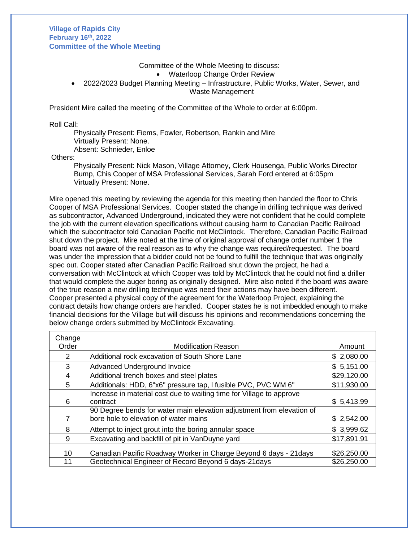## **Village of Rapids City February 16th, 2022 Committee of the Whole Meeting**

#### Committee of the Whole Meeting to discuss:

Waterloop Change Order Review

 2022/2023 Budget Planning Meeting – Infrastructure, Public Works, Water, Sewer, and Waste Management

President Mire called the meeting of the Committee of the Whole to order at 6:00pm.

### Roll Call:

Physically Present: Fiems, Fowler, Robertson, Rankin and Mire Virtually Present: None. Absent: Schnieder, Enloe

Others:

Physically Present: Nick Mason, Village Attorney, Clerk Housenga, Public Works Director Bump, Chis Cooper of MSA Professional Services, Sarah Ford entered at 6:05pm Virtually Present: None.

Mire opened this meeting by reviewing the agenda for this meeting then handed the floor to Chris Cooper of MSA Professional Services. Cooper stated the change in drilling technique was derived as subcontractor, Advanced Underground, indicated they were not confident that he could complete the job with the current elevation specifications without causing harm to Canadian Pacific Railroad which the subcontractor told Canadian Pacific not McClintock. Therefore, Canadian Pacific Railroad shut down the project. Mire noted at the time of original approval of change order number 1 the board was not aware of the real reason as to why the change was required/requested. The board was under the impression that a bidder could not be found to fulfill the technique that was originally spec out. Cooper stated after Canadian Pacific Railroad shut down the project, he had a conversation with McClintock at which Cooper was told by McClintock that he could not find a driller that would complete the auger boring as originally designed. Mire also noted if the board was aware of the true reason a new drilling technique was need their actions may have been different. Cooper presented a physical copy of the agreement for the Waterloop Project, explaining the contract details how change orders are handled. Cooper states he is not imbedded enough to make financial decisions for the Village but will discuss his opinions and recommendations concerning the below change orders submitted by McClintock Excavating.

| Change |                                                                       |             |
|--------|-----------------------------------------------------------------------|-------------|
| Order  | <b>Modification Reason</b>                                            | Amount      |
| 2      | Additional rock excavation of South Shore Lane                        | \$2,080.00  |
| 3      | \$5,151.00<br>Advanced Underground Invoice                            |             |
| 4      | Additional trench boxes and steel plates                              | \$29,120.00 |
| 5      | Additionals: HDD, 6"x6" pressure tap, I fusible PVC, PVC WM 6"        | \$11,930.00 |
|        | Increase in material cost due to waiting time for Village to approve  |             |
| 6      | contract                                                              | \$5,413.99  |
|        | 90 Degree bends for water main elevation adjustment from elevation of |             |
|        | bore hole to elevation of water mains                                 | \$2,542.00  |
| 8      | Attempt to inject grout into the boring annular space                 | \$3,999.62  |
| 9      | Excavating and backfill of pit in VanDuyne yard                       | \$17,891.91 |
|        |                                                                       |             |
| 10     | Canadian Pacific Roadway Worker in Charge Beyond 6 days - 21 days     | \$26,250.00 |
| 11     | Geotechnical Engineer of Record Beyond 6 days-21 days                 | \$26,250.00 |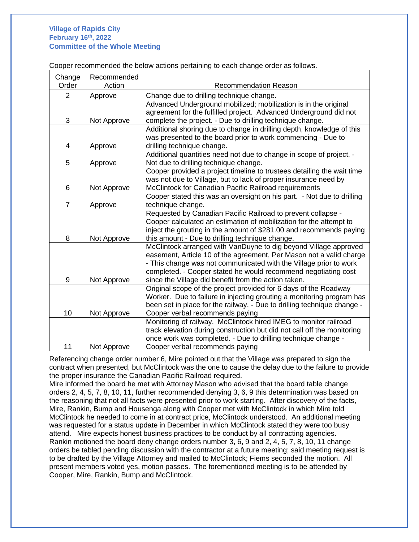# **Village of Rapids City February 16th, 2022 Committee of the Whole Meeting**

Cooper recommended the below actions pertaining to each change order as follows.

| Change         | Recommended |                                                                         |  |
|----------------|-------------|-------------------------------------------------------------------------|--|
| Order          | Action      | <b>Recommendation Reason</b>                                            |  |
| $\overline{2}$ | Approve     | Change due to drilling technique change.                                |  |
|                |             | Advanced Underground mobilized; mobilization is in the original         |  |
|                |             | agreement for the fulfilled project. Advanced Underground did not       |  |
| 3              | Not Approve | complete the project. - Due to drilling technique change.               |  |
|                |             | Additional shoring due to change in drilling depth, knowledge of this   |  |
|                |             | was presented to the board prior to work commencing - Due to            |  |
| 4              | Approve     | drilling technique change.                                              |  |
|                |             | Additional quantities need not due to change in scope of project. -     |  |
| 5              | Approve     | Not due to drilling technique change.                                   |  |
|                |             | Cooper provided a project timeline to trustees detailing the wait time  |  |
|                |             | was not due to Village, but to lack of proper insurance need by         |  |
| 6              | Not Approve | McClintock for Canadian Pacific Railroad requirements                   |  |
|                |             | Cooper stated this was an oversight on his part. - Not due to drilling  |  |
| 7              | Approve     | technique change.                                                       |  |
|                |             | Requested by Canadian Pacific Railroad to prevent collapse -            |  |
|                |             | Cooper calculated an estimation of mobilization for the attempt to      |  |
|                |             | inject the grouting in the amount of \$281.00 and recommends paying     |  |
| 8              | Not Approve | this amount - Due to drilling technique change.                         |  |
|                |             | McClintock arranged with VanDuyne to dig beyond Village approved        |  |
|                |             | easement, Article 10 of the agreement, Per Mason not a valid charge     |  |
|                |             | - This change was not communicated with the Village prior to work       |  |
|                |             | completed. - Cooper stated he would recommend negotiating cost          |  |
| 9              | Not Approve | since the Village did benefit from the action taken.                    |  |
|                |             | Original scope of the project provided for 6 days of the Roadway        |  |
|                |             | Worker. Due to failure in injecting grouting a monitoring program has   |  |
|                |             | been set in place for the railway. - Due to drilling technique change - |  |
| 10             | Not Approve | Cooper verbal recommends paying                                         |  |
|                |             | Monitoring of railway. McClintock hired IMEG to monitor railroad        |  |
|                |             | track elevation during construction but did not call off the monitoring |  |
|                |             | once work was completed. - Due to drilling technique change -           |  |
| 11             | Not Approve | Cooper verbal recommends paying                                         |  |

Referencing change order number 6, Mire pointed out that the Village was prepared to sign the contract when presented, but McClintock was the one to cause the delay due to the failure to provide the proper insurance the Canadian Pacific Railroad required.

Mire informed the board he met with Attorney Mason who advised that the board table change orders 2, 4, 5, 7, 8, 10, 11, further recommended denying 3, 6, 9 this determination was based on the reasoning that not all facts were presented prior to work starting. After discovery of the facts, Mire, Rankin, Bump and Housenga along with Cooper met with McClintock in which Mire told McClintock he needed to come in at contract price, McClintock understood. An additional meeting was requested for a status update in December in which McClintock stated they were too busy attend. Mire expects honest business practices to be conduct by all contracting agencies. Rankin motioned the board deny change orders number 3, 6, 9 and 2, 4, 5, 7, 8, 10, 11 change orders be tabled pending discussion with the contractor at a future meeting; said meeting request is to be drafted by the Village Attorney and mailed to McClintock; Fiems seconded the motion. All present members voted yes, motion passes. The forementioned meeting is to be attended by Cooper, Mire, Rankin, Bump and McClintock.